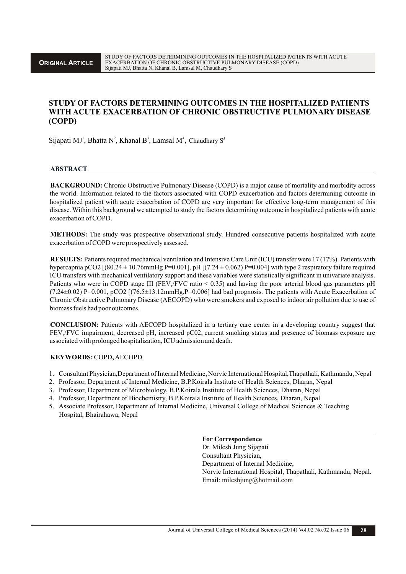# **STUDY OF FACTORS DETERMINING OUTCOMES IN THE HOSPITALIZED PATIENTS WITH ACUTE EXACERBATION OF CHRONIC OBSTRUCTIVE PULMONARY DISEASE (COPD)**

Sijapati MJ<sup>1</sup>, Bhatta N<sup>2</sup>, Khanal B<sup>3</sup>, Lamsal M<sup>4</sup>, Chaudhary S<sup>5</sup>

#### **ABSTRACT**

**BACKGROUND:** Chronic Obstructive Pulmonary Disease (COPD) is a major cause of mortality and morbidity across the world. Information related to the factors associated with COPD exacerbation and factors determining outcome in hospitalized patient with acute exacerbation of COPD are very important for effective long-term management of this disease. Within this background we attempted to study the factors determining outcome in hospitalized patients with acute exacerbation of COPD.

**METHODS:** The study was prospective observational study. Hundred consecutive patients hospitalized with acute exacerbation of COPD were prospectively assessed.

**RESULTS:** Patients required mechanical ventilation and Intensive Care Unit (ICU) transfer were 17 (17%). Patients with hypercapnia pCO2  $[(80.24 \pm 10.76$ mmHg P=0.001], pH $[(7.24 \pm 0.062)$  P=0.004] with type 2 respiratory failure required ICU transfers with mechanical ventilatory support and these variables were statistically significant in univariate analysis. Patients who were in COPD stage III (FEV /FVC ratio  $\leq$  0.35) and having the poor arterial blood gas parameters pH  $(7.24\pm0.02)$  P=0.001, pCO2  $[(76.5\pm13.12mmHg,P=0.006]$  had bad prognosis. The patients with Acute Exacerbation of Chronic Obstructive Pulmonary Disease (AECOPD) who were smokers and exposed to indoor air pollution due to use of biomass fuels had poor outcomes.

**CONCLUSION:** Patients with AECOPD hospitalized in a tertiary care center in a developing country suggest that FEV /FVC impairment, decreased pH, increased pC02, current smoking status and presence of biomass exposure are <sup>1</sup> associated with prolonged hospitalization, ICU admission and death.

#### **KEYWORDS:**COPD**,** AECOPD

- 1. Consultant Physician,Department of Internal Medicine, Norvic International Hospital,Thapathali, Kathmandu, Nepal
- 2. Professor, Department of Internal Medicine, B.P.Koirala Institute of Health Sciences, Dharan, Nepal
- 3. Professor, Department of Microbiology, B.P.Koirala Institute of Health Sciences, Dharan, Nepal
- 4. Professor, Department of Biochemistry, B.P.Koirala Institute of Health Sciences, Dharan, Nepal
- 5. Associate Professor, Department of Internal Medicine, Universal College of Medical Sciences & Teaching Hospital, Bhairahawa, Nepal

**For Correspondence**

Dr. Milesh Jung Sijapati Consultant Physician, Department of Internal Medicine, Norvic International Hospital, Thapathali, Kathmandu, Nepal. Email: mileshjung@hotmail.com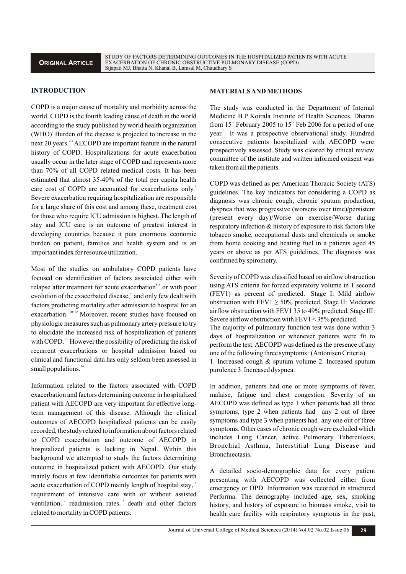# **INTRODUCTION**

COPD is a major cause of mortality and morbidity across the world. COPD is the fourth leading cause of death in the world according to the study published by world health organization  $(WHO)$ <sup>1</sup> Burden of the disease is projected to increase in the next 20 years.<sup>2,3</sup> AECOPD are important feature in the natural history of COPD. Hospitalizations for acute exacerbation usually occur in the later stage of COPD and represents more than 70% of all COPD related medical costs. It has been estimated that almost 35-40% of the total per capita health care cost of COPD are accounted for exacerbations only.<sup>4</sup> Severe exacerbation requiring hospitalization are responsible for a large share of this cost and among these, treatment cost for those who require ICU admission is highest. The length of stay and ICU care is an outcome of greatest interest in developing countries because it puts enormous economic burden on patient, families and health system and is an important index for resource utilization.

Most of the studies on ambulatory COPD patients have focused on identification of factors associated either with relapse after treatment for acute exacerbation<sup>5-8</sup> or with poor evolution of the exacerbated disease,<sup>9</sup> and only few dealt with factors predicting mortality after admission to hospital for an exacerbation. <sup>10-12</sup> Moreover, recent studies have focused on physiologic measures such as pulmonary artery pressure to try to elucidate the increased risk of hospitalization of patients with COPD.<sup>13</sup> However the possibility of predicting the risk of recurrent exacerbations or hospital admission based on clinical and functional data has only seldom been assessed in small populations.<sup>14</sup>

Information related to the factors associated with COPD exacerbation and factors determining outcome in hospitalized patient with AECOPD are very important for effective longterm management of this disease. Although the clinical outcomes of AECOPD hospitalized patients can be easily recorded, the study related to information about factors related to COPD exacerbation and outcome of AECOPD in hospitalized patients is lacking in Nepal. Within this background we attempted to study the factors determining outcome in hospitalized patient with AECOPD. Our study mainly focus at few identifiable outcomes for patients with acute exacerbation of COPD mainly length of hospital stay, requirement of intensive care with or without assisted ventilation, $\frac{2}{3}$  readmission rates,  $\frac{3}{3}$  death and other factors related to mortality in COPD patients.

### **MATERIALS AND METHODS**

The study was conducted in the Department of Internal Medicine B.P Koirala Institute of Health Sciences, Dharan from 15<sup>th</sup> February 2005 to 15<sup>th</sup> Feb 2006 for a period of one year. It was a prospective observational study. Hundred consecutive patients hospitalized with AECOPD were prospectively assessed.Study was cleared by ethical review committee of the institute and written informed consent was taken from all the patients.

COPD was defined as per American Thoracic Society (ATS) guidelines. The key indicators for considering a COPD as diagnosis was chronic cough, chronic sputum production, dyspnea that was progressive (worsens over time)/persistent (present every day)/Worse on exercise/Worse during respiratory infection & history of exposure to risk factors like tobacco smoke, occupational dusts and chemicals or smoke from home cooking and heating fuel in a patients aged 45 years or above as per ATS guidelines. The diagnosis was confirmed by spirometry.

Severity of COPD was classified based on airflow obstruction using ATS criteria for forced expiratory volume in 1 second (FEV1) as percent of predicted. Stage I: Mild airflow obstruction with  $FEV1 \ge 50\%$  predicted, Stage II: Moderate airflow obstruction with FEV1 35 to 49% predicted, Stage III: Severe airflow obstruction with FEV1 < 35% predicted. The majority of pulmonary function test was done within 3 days of hospitalization or whenever patients were fit to perform the test. AECOPD was defined as the presence of any one of the following three symptoms : (Antonisen Criteria) 1. Increased cough & sputum volume 2. Increased sputum purulence 3. Increased dyspnea.

In addition, patients had one or more symptoms of fever, malaise, fatigue and chest congestion. Severity of an AECOPD was defined as type 1 when patients had all three symptoms, type 2 when patients had any 2 out of three symptoms and type 3 when patients had any one out of three symptoms. Other cases of chronic cough were excluded which includes Lung Cancer, active Pulmonary Tuberculosis, Bronchial Asthma, Interstitial Lung Disease and Bronchiectasis.

A detailed socio-demographic data for every patient presenting with AECOPD was collected either from emergency or OPD. Information was recorded in structured Performa. The demography included age, sex, smoking history, and history of exposure to biomass smoke, visit to health care facility with respiratory symptoms in the past,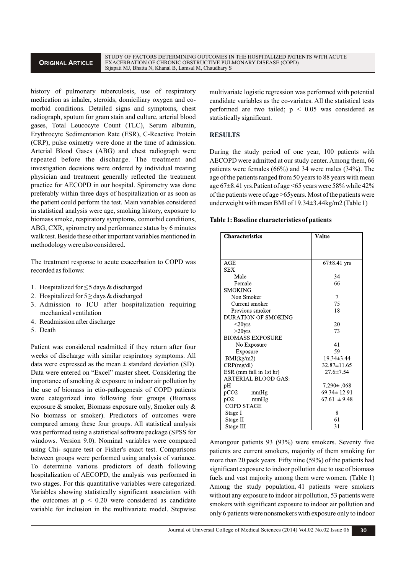## **ORIGINAL ARTICLE**

STUDY OF FACTORS DETERMINING OUTCOMES IN THE HOSPITALIZED PATIENTS WITH ACUTE EXACERBATION OF CHRONIC OBSTRUCTIVE PULMONARY DISEASE (COPD) Sijapati MJ, Bhatta N, Khanal B, Lamsal M, Chaudhary S

history of pulmonary tuberculosis, use of respiratory medication as inhaler, steroids, domiciliary oxygen and comorbid conditions. Detailed signs and symptoms, chest radiograph, sputum for gram stain and culture, arterial blood gases, Total Leucocyte Count (TLC), Serum albumin, Erythrocyte Sedimentation Rate (ESR), C-Reactive Protein (CRP), pulse oximetry were done at the time of admission. Arterial Blood Gases (ABG) and chest radiograph were repeated before the discharge. The treatment and investigation decisions were ordered by individual treating physician and treatment generally reflected the treatment practice for AECOPD in our hospital. Spirometry was done preferably within three days of hospitalization or as soon as the patient could perform the test. Main variables considered in statistical analysis were age, smoking history, exposure to biomass smoke, respiratory symptoms, comorbid conditions, ABG, CXR, spirometry and performance status by 6 minutes walk test. Beside these other important variables mentioned in methodology were also considered.

The treatment response to acute exacerbation to COPD was recorded as follows:

- 1. Hospitalized for ≤ 5 days & discharged
- 2. Hospitalized for  $5 \geq$  days & discharged
- 3. Admission to ICU after hospitalization requiring mechanical ventilation
- 4. Readmission after discharge
- 5. Death

Patient was considered readmitted if they return after four weeks of discharge with similar respiratory symptoms. All data were expressed as the mean  $\pm$  standard deviation (SD). Data were entered on "Excel" master sheet. Considering the importance of smoking & exposure to indoor air pollution by the use of biomass in etio-pathogenesis of COPD patients were categorized into following four groups (Biomass exposure & smoker, Biomass exposure only, Smoker only & No biomass or smoker). Predictors of outcomes were compared among these four groups. All statistical analysis was performed using a statistical software package (SPSS for windows. Version 9.0). Nominal variables were compared using Chi- square test or Fisher's exact test. Comparisons between groups were performed using analysis of variance. To determine various predictors of death following hospitalization of AECOPD, the analysis was performed in two stages. For this quantitative variables were categorized. Variables showing statistically significant association with the outcomes at  $p < 0.20$  were considered as candidate variable for inclusion in the multivariate model. Stepwise multivariate logistic regression was performed with potential candidate variables as the co-variates. All the statistical tests performed are two tailed;  $p \leq 0.05$  was considered as statistically significant.

### **RESULTS**

During the study period of one year, 100 patients with AECOPD were admitted at our study center. Among them, 66 patients were females  $(66%)$  and 34 were males  $(34%)$ . The age of the patients ranged from 50 years to 88 years with mean age 67±8.41 yrs.Patient of age <65 years were 58% while 42% of the patients were of age >65years. Most of the patients were underweight with mean BMI of 19.34±3.44kg/m2 (Table 1)

#### **Table 1: Baseline characteristics of patients**

| <b>Characteristics</b>     | Value             |  |
|----------------------------|-------------------|--|
|                            |                   |  |
|                            |                   |  |
| AGE                        | $67\pm8.41$ yrs   |  |
| <b>SEX</b>                 |                   |  |
| Male                       | 34                |  |
| Female                     | 66                |  |
| <b>SMOKING</b>             |                   |  |
| Non Smoker                 | 7                 |  |
| Current smoker             | 75                |  |
| Previous smoker            | 18                |  |
| DURATION OF SMOKING        |                   |  |
| $<$ 20 $yrs$               | 20                |  |
| $>20$ yrs                  | 73                |  |
| <b>BIOMASS EXPOSURE</b>    |                   |  |
| No Exposure                | 41                |  |
| Exposure                   | 59                |  |
| BMI(kg/m2)                 | $19.34 \pm 3.44$  |  |
| CRP(mg/dl)                 | $32.87 \pm 11.65$ |  |
| ESR (mm fall in 1st hr)    | $27.6 \pm 7.54$   |  |
| <b>ARTERIAL BLOOD GAS:</b> |                   |  |
| pH                         | $7.290 \pm .068$  |  |
| pCO2<br>mmHg               | $69.34 \pm 12.91$ |  |
| pO2<br>mmHg                | $67.61 \pm 9.48$  |  |
| <b>COPD STAGE</b>          |                   |  |
| Stage I                    | 8                 |  |
| Stage II                   | 61                |  |
| Stage III                  | 31                |  |

Amongour patients 93 (93%) were smokers. Seventy five patients are current smokers, majority of them smoking for more than 20 pack years. Fifty nine (59%) of the patients had significant exposure to indoor pollution due to use of biomass fuels and vast majority among them were women. (Table 1) Among the study population,41 patients were smokers without any exposure to indoor air pollution, 53 patients were smokers with significant exposure to indoor air pollution and only 6 patients were nonsmokers with exposure only to indoor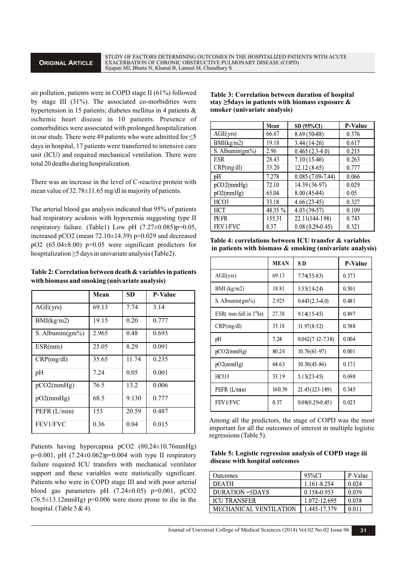air pollution, patients were in COPD stage II (61%) followed by stage III (31%). The associated co-morbidities were hypertension in 15 patients; diabetes mellitus in 4 patients & ischemic heart disease in 10 patients. Presence of comorbidities were associated with prolonged hospitalization in our study. There were 49 patients who were admitted for  $\leq 5$ days in hospital, 17 patients were transferred to intensive care unit (ICU) and required mechanical ventilation. There were total 20 deaths during hospitalization.

There was an increase in the level of C-reactive protein with mean value of 32.78±11.65 mg/dl in majority of patients.

The arterial blood gas analysis indicated that 95% of patients had respiratory acidosis with hypoxemia suggesting type II respiratory failure. (Table1) Low pH  $(7.27\pm0.085)$ p=0.05, increased pCO2 (mean  $72.10\pm14.39$ ) p=0.029 and decreased pO2  $(65.04\pm8.00)$  p=0.05 were significant predictors for hospitalization ≥5 days in univariate analysis (Table2).

| Table 2: Correlation between death & variables in patients |
|------------------------------------------------------------|
| with biomass and smoking (univariate analysis)             |

|                     | Mean  | <b>SD</b> | <b>P-Value</b> |
|---------------------|-------|-----------|----------------|
| AGE(yrs)            | 69.13 | 7.74      | 3.14           |
| BMI(kg/m2)          | 19.15 | 0.20      | 0.777          |
| S. Albumin $(gm\%)$ | 2.965 | 0.48      | 0.693          |
| ESR(mm)             | 25.05 | 8.29      | 0.091          |
| CRP(mg/dl)          | 35.65 | 11.74     | 0.235          |
| pH                  | 7.24  | 0.05      | 0.001          |
| pCO2(mmHg)          | 76.5  | 13.2      | 0.006          |
| pO2(mmHg)           | 68.5  | 9.130     | 0.777          |
| PEFR (L/min)        | 153   | 20.59     | 0.487          |
| FEV1/FVC            | 0.36  | 0.04      | 0.015          |

Patients having hypercapnia pCO2 (80.24±10.76mmHg)  $p=0.001$ , pH  $(7.24\pm0.062)p=0.004$  with type II respiratory failure required ICU transfers with mechanical ventilator support and these variables were statistically significant. Patients who were in COPD stage III and with poor arterial blood gas parameters pH  $(7.24\pm0.05)$  p=0.001, pCO2  $(76.5\pm13.12$ mmHg) p=0.006 were more prone to die in the hospital. (Table  $3 & 4$ ).

**Table 3: Correlation between duration of hospital stay ≥5days in patients with biomass exposure & smoker (univariate analysis)**

|                     | Mean    | SD (95%CI)           | <b>P-Value</b> |
|---------------------|---------|----------------------|----------------|
| AGE(yrs)            | 66.67   | $8.69(50-88)$        | 0.376          |
| BMI(kg/m2)          | 19.18   | $3.44(14-26)$        | 0.617          |
| S. Albumin $(gm\%)$ | 2.96    | $0.465(2.3-4.0)$     | 0.215          |
| <b>ESR</b>          | 28.43   | $7.10(15-46)$        | 0.263          |
| CRP(mg/dl)          | 33.20   | $12.12(8-65)$        | 0.777          |
| pH                  | 7.278   | $0.085(7.09 - 7.44)$ | 0.066          |
| pCO2(mmHg)          | 72.10   | 14.39 (36-97)        | 0.029          |
| pO2(mmHg)           | 65.04   | $8.00(45-84)$        | 0.05           |
| HCO <sub>3</sub>    | 33.18   | $4.66(23-45)$        | 0.327          |
| <b>HCT</b>          | 48.35 % | $4.03(39-57)$        | 0.109          |
| <b>PEFR</b>         | 155.31  | 22.11(144-198)       | 0.743          |
| FEV1/FVC            | 0.37    | $0.08(0.29 - 0.45)$  | 0.321          |

**Table 4: correlations between ICU transfer & variables in patients with biomass & smoking (univariate analysis)**

|                           | <b>MEAN</b> | S D                  | <b>P-Value</b> |
|---------------------------|-------------|----------------------|----------------|
| AGE(yrs)                  | 69.13       | 7.74(55-83)          | 0.373          |
| $BMI$ (kg/m2)             | 18.81       | $3.53(14-24)$        | 0.501          |
| S. Albumin $(gm\%)$       | 2.925       | $0.443(2.3-4.0)$     | 0.481          |
| ESR( mm fall in $1st$ hr) | 27.38       | $9.14(15-45)$        | 0.897          |
| CRP(mg/dl)                | 35.18       | $11.97(8-52)$        | 0.388          |
| pH                        | 7.24        | $0.062(7.12 - 7.38)$ | 0.004          |
| pCO2(mmHg)                | 80.24       | $10.76(61-97)$       | 0.001          |
| pO2(mmHg)                 | 64.63       | $10.30(45 - 84)$     | 0.171          |
| HCO3                      | 33.19       | $5.13(23-45)$        | 0.698          |
| PEFR $(L/min)$            | 160.39      | 21.43(123-189)       | 0.345          |
| FEV1/FVC                  | 0.37        | $0.08(0.29 - 0.45)$  | 0.023          |

Among all the predictors, the stage of COPD was the most important for all the outcomes of interest in multiple logistic regressions (Table 5).

| Table 5: Logistic regression analysis of COPD stage iii |  |
|---------------------------------------------------------|--|
| disease with hospital outcomes                          |  |

| Outcomes               | 95%CI        | P-Value |
|------------------------|--------------|---------|
| <b>DEATH</b>           | 1.161-8.254  | 0.024   |
| $DIIRATION = 5DAYS$    | 0.158-0.953  | 0.039   |
| <b>ICU TRANSFER</b>    | 1.072-12.695 | 0.038   |
| MECHANICAL VENTILATION | 1.445-17.379 | 0 01 1  |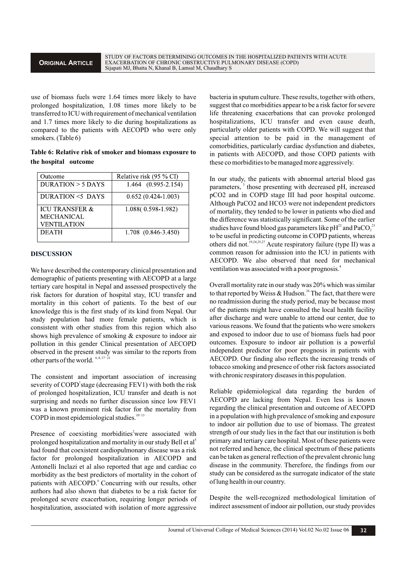use of biomass fuels were 1.64 times more likely to have prolonged hospitalization, 1.08 times more likely to be transferred to ICU with requirement of mechanical ventilation and 1.7 times more likely to die during hospitalizations as compared to the patients with AECOPD who were only smokers. (Table 6)

**Table 6: Relative risk of smoker and biomass exposure to the hospital outcome**

| Outcome                   | Relative risk (95 % CI)   |
|---------------------------|---------------------------|
| $DURATION > 5$ DAYS       | 1.464 (0.995-2.154)       |
| DURATION <5 DAYS          | $0.652(0.424-1.003)$      |
| <b>ICU TRANSFER &amp;</b> | 1.088(0.598-1.982)        |
| <b>MECHANICAL</b>         |                           |
| <b>VENTILATION</b>        |                           |
| <b>DEATH</b>              | $1.708$ $(0.846 - 3.450)$ |

## **DISCUSSION**

We have described the contemporary clinical presentation and demographic of patients presenting with AECOPD at a large tertiary care hospital in Nepal and assessed prospectively the risk factors for duration of hospital stay, ICU transfer and mortality in this cohort of patients. To the best of our knowledge this is the first study of its kind from Nepal. Our study population had more female patients, which is consistent with other studies from this region which also shows high prevalence of smoking & exposure to indoor air pollution in this gender Clinical presentation of AECOPD observed in the present study was similar to the reports from other parts of the world.  $6, 8, 17-21$ 

The consistent and important association of increasing severity of COPD<sup>1</sup> stage (decreasing FEV1) with both the risk of prolonged hospitalization, ICU transfer and death is not surprising and needs no further discussion since low FEV1 was a known prominent risk factor for the mortality from  $COPD$  in most epidemiological studies.<sup>10-13</sup>

Presence of coexisting morbidities<sup>2</sup>were associated with prolonged hospitalization and mortality in our study Bell et al<sup>5</sup> had found that coexistent cardiopulmonary disease was a risk factor for prolonged hospitalization in AECOPD and Antonelli Inclazi et al also reported that age and cardiac co morbidity as the best predictors of mortality in the cohort of patients with AECOPD.<sup>6</sup> Concurring with our results, other authors had also shown that diabetes to be a risk factor for prolonged severe exacerbation, requiring longer periods of hospitalization, associated with isolation of more aggressive

bacteria in sputum culture. These results, together with others, suggest that co morbidities appear to be a risk factor for severe life threatening exacerbations that can provoke prolonged hospitalizations, ICU transfer and even cause death, particularly older patients with COPD. We will suggest that special attention to be paid in the management of comorbidities, particularly cardiac dysfunction and diabetes, in patients with AECOPD, and those COPD patients with these co morbidities to be managed more aggressively.

In our study, the patients with abnormal arterial blood gas parameters,<sup>3</sup> those presenting with decreased pH, increased pCO2 and in COPD stage III had poor hospital outcome. Although PaCO2 and HCO3 were not independent predictors of mortality, they tended to be lower in patients who died and the difference was statistically significant. Some of the earlier studies have found blood gas parameters like  $pH^{22}$  and PaCO<sub>2</sub><sup>23</sup> to be useful in predicting outcome in COPD patients, whereas others did not.  $19,24,25,27$  Acute respiratory failure (type II) was a common reason for admission into the ICU in patients with AECOPD. We also observed that need for mechanical ventilation was associated with a poor prognosis.<sup>4</sup>

Overall mortality rate in our study was 20% which was similar to that reported by Weiss & Hudson.<sup>26</sup> The fact, that there were no readmission during the study period, may be because most of the patients might have consulted the local health facility after discharge and were unable to attend our center, due to various reasons. We found that the patients who were smokers and exposed to indoor due to use of biomass fuels had poor outcomes. Exposure to indoor air pollution is a powerful independent predictor for poor prognosis in patients with AECOPD. Our finding also reflects the increasing trends of tobacco smoking and presence of other risk factors associated with chronic respiratory diseases in this population.

Reliable epidemiological data regarding the burden of AECOPD are lacking from Nepal. Even less is known regarding the clinical presentation and outcome of AECOPD in a population with high prevalence of smoking and exposure to indoor air pollution due to use of biomass. The greatest strength of our study lies in the fact that our institution is both primary and tertiary care hospital. Most of these patients were not referred and hence, the clinical spectrum of these patients can be taken as general reflection of the prevalent chronic lung disease in the community. Therefore, the findings from our study can be considered as the surrogate indicator of the state of lung health in our country.

Despite the well-recognized methodological limitation of indirect assessment of indoor air pollution, our study provides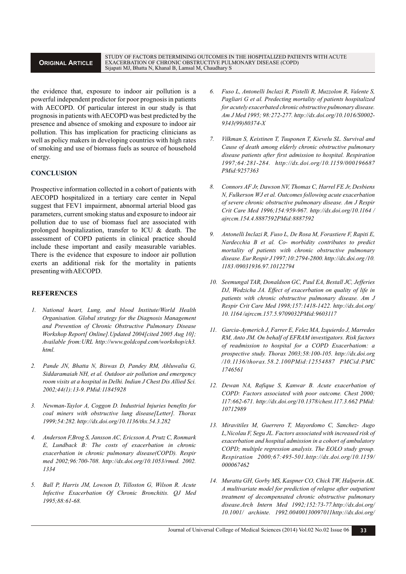# **ORIGINAL ARTICLE**

the evidence that, exposure to indoor air pollution is a powerful independent predictor for poor prognosis in patients with AECOPD. Of particular interest in our study is that prognosis in patients with AECOPD was best predicted by the presence and absence of smoking and exposure to indoor air pollution. This has implication for practicing clinicians as well as policy makers in developing countries with high rates of smoking and use of biomass fuels as source of household energy.

# **CONCLUSION**

Prospective information collected in a cohort of patients with AECOPD hospitalized in a tertiary care center in Nepal suggest that FEV1 impairment, abnormal arterial blood gas parameters, current smoking status and exposure to indoor air pollution due to use of biomass fuel are associated with prolonged hospitalization, transfer to ICU & death. The assessment of COPD patients in clinical practice should include these important and easily measurable variables. There is the evidence that exposure to indoor air pollution exerts an additional risk for the mortality in patients presenting with AECOPD.

## **REFERENCES**

- *1. National heart, Lung, and blood Institute/World Health Organisation. Global strategy for the Diagnosis Management and Prevention of Chronic Obstructive Pulmonary Disease Workshop Report[ Online].Updated 2004[cited 2005 Aug 10]; Available from:URL http://www.goldcopd.com/workshop/ch3. html.*
- *2. Pande JN, Bhatta N, Biswas D, Pandey RM, Ahluwalia G, Siddaramaiah NH, et al. Outdoor air pollution and emergency room visits at a hospital in Delhi. Indian J Chest Dis Allied Sci. 2002;44(1):13-9. PMid:11845928*
- *3. Newman-Taylor A, Coggon D. Industrial Injuries benefits for coal miners with obstructive lung disease[Letter]. Thorax 1999;54:282. http://dx.doi.org/10.1136/thx.54.3.282*
- *4. Anderson F,Brog S, Jansson AC, Ericsson A, Prutz C, Ronmark E, Lundback B: The costs of exacerbation in chronic exacerbation in chronic pulmonary disease(COPD). Respir med 2002;96:700-708. http://dx.doi.org/10.1053/rmed. 2002. 1334*
- *5. Ball P, Harris JM, Lowson D, Tilloston G, Wilson R. Acute Infective Exacerbation Of Chronic Bronchitis. QJ Med 1995;88:61-68.*
- *6. Fuso L, Antonelli Inclazi R, Pistelli R, Muzzolon R, Valente S, Pagliari G et al. Predecting mortality of patients hospitalized for acutely exacerbated chronic obstructive pulmonary disease. Am J Med 1995; 98:272-277. http://dx.doi.org/10.1016/S0002- 9343(99)80374-X*
- *7. Vilkman S, Keistinen T, Tuuponen T, Kievelu SL. Survival and Cause of death among elderly chronic obstructive pulmonary disease patients after first admission to hospital. Respiration 1997;64:281-284. http://dx.doi.org/10.1159/000196687 PMid:9257363*
- *8. Connors AF Jr, Dawson NV, Thomas C, Harrel FE Jr, Desbiens N, Fulkerson WJ et al. Outcomes following acute exacerbation of severe chronic obstructive pulmonary disease. Am J Respir Crit Care Med 1996;154:959-967. http://dx.doi.org/10.1164 / ajrccm.154.4.8887592PMid:8887592*
- *9. Antonelli Inclazi R, Fuso L, De Rosa M, Forastiere F, Rapiti E, Nardecchia B et al. Co- morbidity contributes to predict mortality of patients with chronic obstructive pulmonary disease. Eur Respir J 1997;10:2794-2800. http://dx.doi.org /10. 1183 /09031936.97.10122794*
- *10. Seemungal TAR, Donaldson GC, Paul EA, Bestall JC, Jefferies DJ, Wedzicha JA. Effect of exacerbation on quality of life in patients with chronic obstructive pulmonary disease. Am J Respir Crit Care Med 1998;157:1418-1422. http://dx.doi.org/ 10. 1164 /ajrccm.157.5.9709032PMid:9603117*
- *11. Garcia-Aymerich J, Farrer E, Felez MA, Izquierdo J, Marredes RM, Anto JM. On behalf of EFRAM investigators. Risk factors of readmission to hospital for a COPD Exacerbatiom: a prospective study. Thorax 2003;58:100-105. http://dx.doi.org /10.1136/thorax.58.2.100PMid:12554887 PMCid:PMC 1746561*
- *12. Dewan NA, Rafique S, Kanwar B. Acute exacerbation of COPD: Factors associated with poor outcome. Chest 2000; 117:662-671. http://dx.doi.org/10.1378/chest.117.3.662 PMid: 10712989*
- *13. Miravitiles M, Guerrero T, Mayordomo C, Sanchez- Augo L,Nicolau F, Segu JL. Factors associated with increased risk of exacerbation and hospital admission in a cohort of ambulatory COPD; multiple regression analysis. The EOLO study group. Respiration 2000;67:495-501.http://dx.doi.org/10.1159/ 000067462*
- *14. Muratta GH, Gorby MS, Kaspner CO, Chick TW, Halperin AK. A multivariate model for prediction of relapse after outpatient treatment of decompensated chronic obstructive pulmonary disease.Arch Intern Med 1992;152:73-77.http://dx.doi.org/ 10.1001/ archinte. 1992.00400130097011http://dx.doi.org/*